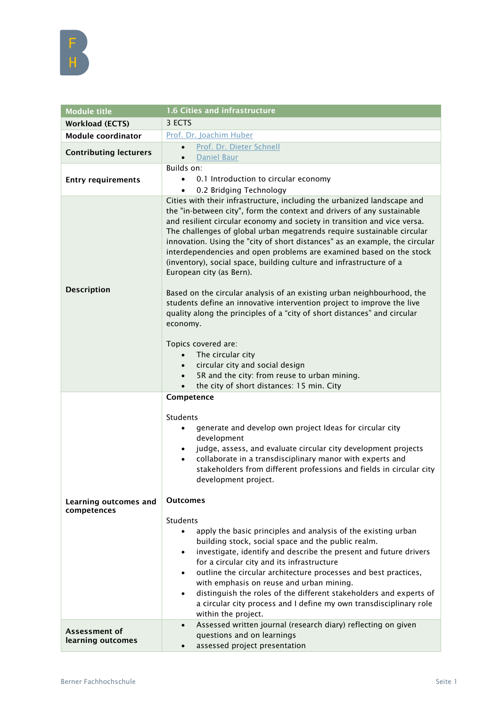

| <b>Module title</b>                  | 1.6 Cities and infrastructure                                                                                                                                                                                                                                                                                                                                                                                                                                                                                                                                                                                                                                                                                                                                                                                                                                                                                                                                                                                                                              |
|--------------------------------------|------------------------------------------------------------------------------------------------------------------------------------------------------------------------------------------------------------------------------------------------------------------------------------------------------------------------------------------------------------------------------------------------------------------------------------------------------------------------------------------------------------------------------------------------------------------------------------------------------------------------------------------------------------------------------------------------------------------------------------------------------------------------------------------------------------------------------------------------------------------------------------------------------------------------------------------------------------------------------------------------------------------------------------------------------------|
| <b>Workload (ECTS)</b>               | 3 ECTS                                                                                                                                                                                                                                                                                                                                                                                                                                                                                                                                                                                                                                                                                                                                                                                                                                                                                                                                                                                                                                                     |
| <b>Module coordinator</b>            | Prof. Dr. Joachim Huber                                                                                                                                                                                                                                                                                                                                                                                                                                                                                                                                                                                                                                                                                                                                                                                                                                                                                                                                                                                                                                    |
| <b>Contributing lecturers</b>        | Prof. Dr. Dieter Schnell<br>$\bullet$                                                                                                                                                                                                                                                                                                                                                                                                                                                                                                                                                                                                                                                                                                                                                                                                                                                                                                                                                                                                                      |
|                                      | Daniel Baur<br>$\bullet$                                                                                                                                                                                                                                                                                                                                                                                                                                                                                                                                                                                                                                                                                                                                                                                                                                                                                                                                                                                                                                   |
|                                      | Builds on:                                                                                                                                                                                                                                                                                                                                                                                                                                                                                                                                                                                                                                                                                                                                                                                                                                                                                                                                                                                                                                                 |
| <b>Entry requirements</b>            | 0.1 Introduction to circular economy                                                                                                                                                                                                                                                                                                                                                                                                                                                                                                                                                                                                                                                                                                                                                                                                                                                                                                                                                                                                                       |
| <b>Description</b>                   | 0.2 Bridging Technology<br>Cities with their infrastructure, including the urbanized landscape and<br>the "in-between city", form the context and drivers of any sustainable<br>and resilient circular economy and society in transition and vice versa.<br>The challenges of global urban megatrends require sustainable circular<br>innovation. Using the "city of short distances" as an example, the circular<br>interdependencies and open problems are examined based on the stock<br>(inventory), social space, building culture and infrastructure of a<br>European city (as Bern).<br>Based on the circular analysis of an existing urban neighbourhood, the<br>students define an innovative intervention project to improve the live<br>quality along the principles of a "city of short distances" and circular<br>economy.<br>Topics covered are:<br>The circular city<br>$\bullet$<br>circular city and social design<br>$\bullet$<br>5R and the city: from reuse to urban mining.<br>$\bullet$<br>the city of short distances: 15 min. City |
| Learning outcomes and<br>competences | Competence<br>Students<br>generate and develop own project Ideas for circular city<br>٠<br>development<br>judge, assess, and evaluate circular city development projects<br>$\bullet$<br>collaborate in a transdisciplinary manor with experts and<br>$\bullet$<br>stakeholders from different professions and fields in circular city<br>development project.<br><b>Outcomes</b><br>Students<br>apply the basic principles and analysis of the existing urban<br>$\bullet$<br>building stock, social space and the public realm.<br>investigate, identify and describe the present and future drivers<br>$\bullet$<br>for a circular city and its infrastructure<br>outline the circular architecture processes and best practices,<br>$\bullet$<br>with emphasis on reuse and urban mining.<br>distinguish the roles of the different stakeholders and experts of<br>$\bullet$<br>a circular city process and I define my own transdisciplinary role<br>within the project.                                                                              |
| Assessment of<br>learning outcomes   | Assessed written journal (research diary) reflecting on given<br>$\bullet$<br>questions and on learnings<br>assessed project presentation<br>$\bullet$                                                                                                                                                                                                                                                                                                                                                                                                                                                                                                                                                                                                                                                                                                                                                                                                                                                                                                     |